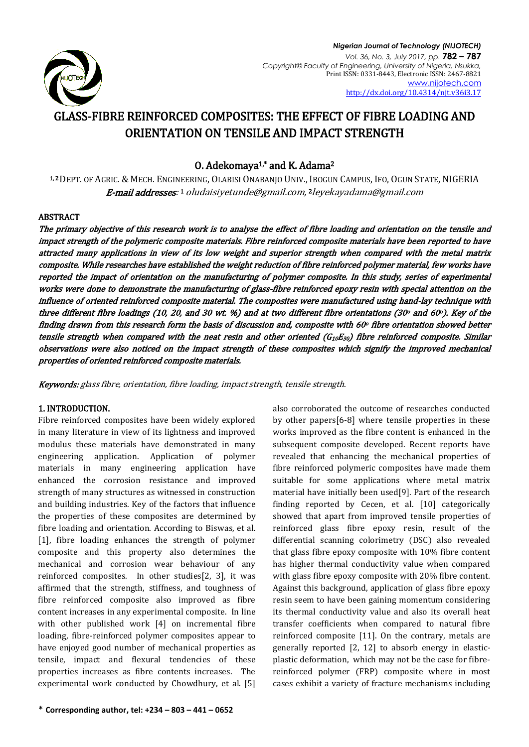

# GLASS-FIBRE REINFORCED COMPOSITES: THE EFFECT OF FIBRE LOADING AND ORIENTATION ON TENSILE AND IMPACT STRENGTH

## 0. Adekomaya<sup>1,\*</sup> and K. Adama<sup>2</sup>

1, <sup>2</sup>DEPT. OF AGRIC. & MECH. ENGINEERING, OLABISI ONABANJO UNIV., IBOGUN CAMPUS, IFO, OGUN STATE, NIGERIA **E-mail addresses**: 1 [oludaisiyetunde@gmail.com,](mailto:oludaisiyetunde@gmail.com) 2 leyekayadama@gmail.com

## ABSTRACT

The primary objective of this research work is to analyse the effect of fibre loading and orientation on the tensile and impact strength of the polymeric composite materials. Fibre reinforced composite materials have been reported to have attracted many applications in view of its low weight and superior strength when compared with the metal matrix composite. While researches have established the weight reduction of fibre reinforced polymer material, few works have reported the impact of orientation on the manufacturing of polymer composite. In this study, series of experimental works were done to demonstrate the manufacturing of glass-fibre reinforced epoxy resin with special attention on the influence of oriented reinforced composite material. The composites were manufactured using hand-lay technique with three different fibre loadings (10, 20, and 30 wt.  $\%$ ) and at two different fibre orientations (30° and 60°). Key of the finding drawn from this research form the basis of discussion and, composite with 60° fibre orientation showed better tensile strength when compared with the neat resin and other oriented ( $G_{10}E_{30}$ ) fibre reinforced composite. Similar observations were also noticed on the impact strength of these composites which signify the improved mechanical properties of oriented reinforced composite materials.

Keywords: glass fibre, orientation, fibre loading, impact strength, tensile strength.

## 1. INTRODUCTION.

Fibre reinforced composites have been widely explored in many literature in view of its lightness and improved modulus these materials have demonstrated in many engineering application. Application of polymer materials in many engineering application have enhanced the corrosion resistance and improved strength of many structures as witnessed in construction and building industries. Key of the factors that influence the properties of these composites are determined by fibre loading and orientation. According to Biswas, et al. [1], fibre loading enhances the strength of polymer composite and this property also determines the mechanical and corrosion wear behaviour of any reinforced composites. In other studies[2, 3], it was affirmed that the strength, stiffness, and toughness of fibre reinforced composite also improved as fibre content increases in any experimental composite. In line with other published work [4] on incremental fibre loading, fibre-reinforced polymer composites appear to have enjoyed good number of mechanical properties as tensile, impact and flexural tendencies of these properties increases as fibre contents increases. The experimental work conducted by Chowdhury, et al. [5] also corroborated the outcome of researches conducted by other papers[6-8] where tensile properties in these works improved as the fibre content is enhanced in the subsequent composite developed. Recent reports have revealed that enhancing the mechanical properties of fibre reinforced polymeric composites have made them suitable for some applications where metal matrix material have initially been used[9]. Part of the research finding reported by Cecen, et al. [10] categorically showed that apart from improved tensile properties of reinforced glass fibre epoxy resin, result of the differential scanning colorimetry (DSC) also revealed that glass fibre epoxy composite with 10% fibre content has higher thermal conductivity value when compared with glass fibre epoxy composite with 20% fibre content. Against this background, application of glass fibre epoxy resin seem to have been gaining momentum considering its thermal conductivity value and also its overall heat transfer coefficients when compared to natural fibre reinforced composite [11]. On the contrary, metals are generally reported [2, 12] to absorb energy in elasticplastic deformation, which may not be the case for fibrereinforced polymer (FRP) composite where in most cases exhibit a variety of fracture mechanisms including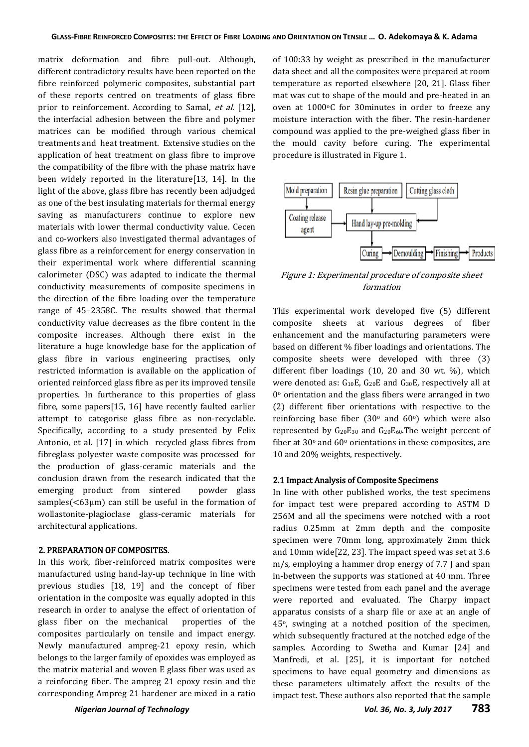matrix deformation and fibre pull-out. Although, different contradictory results have been reported on the fibre reinforced polymeric composites, substantial part of these reports centred on treatments of glass fibre prior to reinforcement. According to Samal, et al. [12], the interfacial adhesion between the fibre and polymer matrices can be modified through various chemical treatments and heat treatment. Extensive studies on the application of heat treatment on glass fibre to improve the compatibility of the fibre with the phase matrix have been widely reported in the literature[13, 14]. In the light of the above, glass fibre has recently been adjudged as one of the best insulating materials for thermal energy saving as manufacturers continue to explore new materials with lower thermal conductivity value. Cecen and co-workers also investigated thermal advantages of glass fibre as a reinforcement for energy conservation in their experimental work where differential scanning calorimeter (DSC) was adapted to indicate the thermal conductivity measurements of composite specimens in the direction of the fibre loading over the temperature range of 45–2358C. The results showed that thermal conductivity value decreases as the fibre content in the composite increases. Although there exist in the literature a huge knowledge base for the application of glass fibre in various engineering practises, only restricted information is available on the application of oriented reinforced glass fibre as per its improved tensile properties. In furtherance to this properties of glass fibre, some papers[15, 16] have recently faulted earlier attempt to categorise glass fibre as non-recyclable. Specifically, according to a study presented by Felix Antonio, et al. [17] in which recycled glass fibres from fibreglass polyester waste composite was processed for the production of glass-ceramic materials and the conclusion drawn from the research indicated that the emerging product from sintered powder glass samples(<63μm) can still be useful in the formation of wollastonite-plagioclase glass-ceramic materials for architectural applications.

#### 2. PREPARATION OF COMPOSITES.

In this work, fiber-reinforced matrix composites were manufactured using hand-lay-up technique in line with previous studies [18, 19] and the concept of fiber orientation in the composite was equally adopted in this research in order to analyse the effect of orientation of glass fiber on the mechanical properties of the composites particularly on tensile and impact energy. Newly manufactured ampreg-21 epoxy resin, which belongs to the larger family of epoxides was employed as the matrix material and woven E glass fiber was used as a reinforcing fiber. The ampreg 21 epoxy resin and the corresponding Ampreg 21 hardener are mixed in a ratio

of 100:33 by weight as prescribed in the manufacturer data sheet and all the composites were prepared at room temperature as reported elsewhere [20, 21]. Glass fiber mat was cut to shape of the mould and pre-heated in an oven at 1000°C for 30minutes in order to freeze any moisture interaction with the fiber. The resin-hardener compound was applied to the pre-weighed glass fiber in the mould cavity before curing. The experimental procedure is illustrated in Figure 1.



Figure 1: Experimental procedure of composite sheet formation

This experimental work developed five (5) different composite sheets at various degrees of fiber enhancement and the manufacturing parameters were based on different % fiber loadings and orientations. The composite sheets were developed with three (3) different fiber loadings (10, 20 and 30 wt. %), which were denoted as:  $G_{10}E$ ,  $G_{20}E$  and  $G_{30}E$ , respectively all at  $0^{\circ}$  orientation and the glass fibers were arranged in two (2) different fiber orientations with respective to the reinforcing base fiber (30 $\degree$  and 60 $\degree$ ) which were also represented by  $G_{20}E_{30}$  and  $G_{20}E_{60}$ . The weight percent of fiber at  $30^{\circ}$  and  $60^{\circ}$  orientations in these composites, are 10 and 20% weights, respectively.

#### 2.1 Impact Analysis of Composite Specimens

In line with other published works, the test specimens for impact test were prepared according to ASTM D 256M and all the specimens were notched with a root radius 0.25mm at 2mm depth and the composite specimen were 70mm long, approximately 2mm thick and 10mm wide[22, 23]. The impact speed was set at 3.6 m/s, employing a hammer drop energy of 7.7 J and span in-between the supports was stationed at 40 mm. Three specimens were tested from each panel and the average were reported and evaluated. The Charpy impact apparatus consists of a sharp file or axe at an angle of 45o, swinging at a notched position of the specimen, which subsequently fractured at the notched edge of the samples. According to Swetha and Kumar [24] and Manfredi, et al. [25], it is important for notched specimens to have equal geometry and dimensions as these parameters ultimately affect the results of the impact test. These authors also reported that the sample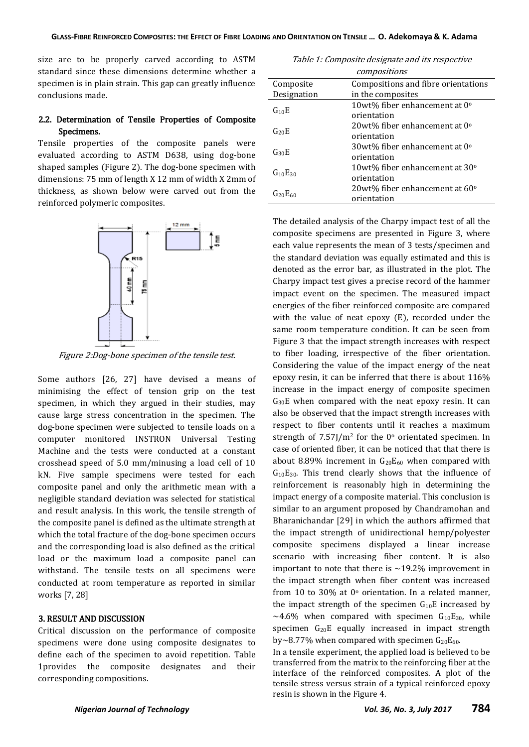size are to be properly carved according to ASTM standard since these dimensions determine whether a specimen is in plain strain. This gap can greatly influence conclusions made.

## 2.2. Determination of Tensile Properties of Composite Specimens.

Tensile properties of the composite panels were evaluated according to ASTM D638, using dog-bone shaped samples (Figure 2). The dog-bone specimen with dimensions: 75 mm of length X 12 mm of width X 2mm of thickness, as shown below were carved out from the reinforced polymeric composites.



Figure 2:Dog-bone specimen of the tensile test.

Some authors [26, 27] have devised a means of minimising the effect of tension grip on the test specimen, in which they argued in their studies, may cause large stress concentration in the specimen. The dog-bone specimen were subjected to tensile loads on a computer monitored INSTRON Universal Testing Machine and the tests were conducted at a constant crosshead speed of 5.0 mm/minusing a load cell of 10 kN. Five sample specimens were tested for each composite panel and only the arithmetic mean with a negligible standard deviation was selected for statistical and result analysis. In this work, the tensile strength of the composite panel is defined as the ultimate strength at which the total fracture of the dog-bone specimen occurs and the corresponding load is also defined as the critical load or the maximum load a composite panel can withstand. The tensile tests on all specimens were conducted at room temperature as reported in similar works [7, 28]

### 3. RESULT AND DISCUSSION

Critical discussion on the performance of composite specimens were done using composite designates to define each of the specimen to avoid repetition. Table 1provides the composite designates and their corresponding compositions.

Table 1: Composite designate and its respective compositions

| Composite      | Compositions and fibre orientations                   |
|----------------|-------------------------------------------------------|
| Designation    | in the composites                                     |
| $G_{10}E$      | 10wt% fiber enhancement at $0^{\circ}$<br>orientation |
| $G_{20}E$      | 20wt% fiber enhancement at $0^{\circ}$<br>orientation |
| $G_{30}E$      | 30wt% fiber enhancement at 0°<br>orientation          |
| $G_{10}E_{30}$ | 10wt% fiber enhancement at 30°<br>orientation         |
| $G_{20}E_{60}$ | 20wt% fiber enhancement at 60°<br>orientation         |

The detailed analysis of the Charpy impact test of all the composite specimens are presented in Figure 3, where each value represents the mean of 3 tests/specimen and the standard deviation was equally estimated and this is denoted as the error bar, as illustrated in the plot. The Charpy impact test gives a precise record of the hammer impact event on the specimen. The measured impact energies of the fiber reinforced composite are compared with the value of neat epoxy (E), recorded under the same room temperature condition. It can be seen from Figure 3 that the impact strength increases with respect to fiber loading, irrespective of the fiber orientation. Considering the value of the impact energy of the neat epoxy resin, it can be inferred that there is about 116% increase in the impact energy of composite specimen  $G_{30}E$  when compared with the neat epoxy resin. It can also be observed that the impact strength increases with respect to fiber contents until it reaches a maximum strength of  $7.57$ ]/m<sup>2</sup> for the 0 $\degree$  orientated specimen. In case of oriented fiber, it can be noticed that that there is about 8.89% increment in  $G_{20}E_{60}$  when compared with  $G_{10}E_{30}$ . This trend clearly shows that the influence of reinforcement is reasonably high in determining the impact energy of a composite material. This conclusion is similar to an argument proposed by Chandramohan and Bharanichandar [29] in which the authors affirmed that the impact strength of unidirectional hemp/polyester composite specimens displayed a linear increase scenario with increasing fiber content. It is also important to note that there is  $\sim$ 19.2% improvement in the impact strength when fiber content was increased from 10 to 30% at  $0^{\circ}$  orientation. In a related manner, the impact strength of the specimen  $G_{10}E$  increased by ~4.6% when compared with specimen  $G_{10}E_{30}$ , while specimen  $G_{20}E$  equally increased in impact strength by~8.77% when compared with specimen  $G_{20}E_{60}$ .

In a tensile experiment, the applied load is believed to be transferred from the matrix to the reinforcing fiber at the interface of the reinforced composites. A plot of the tensile stress versus strain of a typical reinforced epoxy resin is shown in the Figure 4.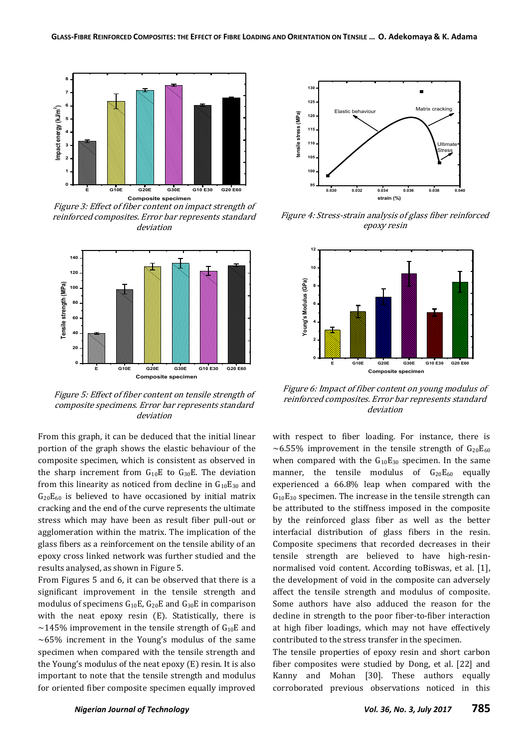

Figure 3: Effect of fiber content on impact strength of reinforced composites. Error bar represents standard deviation



Figure 5: Effect of fiber content on tensile strength of composite specimens. Error bar represents standard deviation

From this graph, it can be deduced that the initial linear portion of the graph shows the elastic behaviour of the composite specimen, which is consistent as observed in the sharp increment from  $G_{10}E$  to  $G_{30}E$ . The deviation from this linearity as noticed from decline in  $G_{10}E_{30}$  and  $G_{20}E_{60}$  is believed to have occasioned by initial matrix cracking and the end of the curve represents the ultimate stress which may have been as result fiber pull-out or agglomeration within the matrix. The implication of the glass fibers as a reinforcement on the tensile ability of an epoxy cross linked network was further studied and the results analysed, as shown in Figure 5.

From Figures 5 and 6, it can be observed that there is a significant improvement in the tensile strength and modulus of specimens  $G_{10}E$ ,  $G_{20}E$  and  $G_{30}E$  in comparison with the neat epoxy resin (E). Statistically, there is  $\sim$ 145% improvement in the tensile strength of G<sub>10</sub>E and  $~10-65%$  increment in the Young's modulus of the same specimen when compared with the tensile strength and the Young's modulus of the neat epoxy (E) resin. It is also important to note that the tensile strength and modulus for oriented fiber composite specimen equally improved



Figure 4: Stress-strain analysis of glass fiber reinforced epoxy resin



Figure 6: Impact of fiber content on young modulus of reinforced composites. Error bar represents standard deviation

with respect to fiber loading. For instance, there is  $\sim$  6.55% improvement in the tensile strength of  $G_{20}E_{60}$ when compared with the  $G_{10}E_{30}$  specimen. In the same manner, the tensile modulus of  $G_{20}E_{60}$  equally experienced a 66.8% leap when compared with the  $G_{10}E_{30}$  specimen. The increase in the tensile strength can be attributed to the stiffness imposed in the composite by the reinforced glass fiber as well as the better interfacial distribution of glass fibers in the resin. Composite specimens that recorded decreases in their tensile strength are believed to have high-resinnormalised void content. According toBiswas, et al. [1], the development of void in the composite can adversely affect the tensile strength and modulus of composite. Some authors have also adduced the reason for the decline in strength to the poor fiber-to-fiber interaction at high fiber loadings, which may not have effectively contributed to the stress transfer in the specimen.

The tensile properties of epoxy resin and short carbon fiber composites were studied by Dong, et al. [22] and Kanny and Mohan [30]. These authors equally corroborated previous observations noticed in this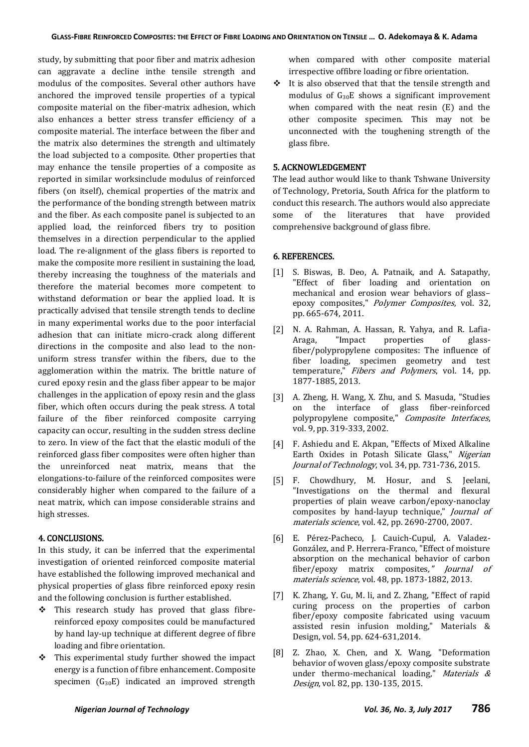study, by submitting that poor fiber and matrix adhesion can aggravate a decline inthe tensile strength and modulus of the composites. Several other authors have anchored the improved tensile properties of a typical composite material on the fiber-matrix adhesion, which also enhances a better stress transfer efficiency of a composite material. The interface between the fiber and the matrix also determines the strength and ultimately the load subjected to a composite. Other properties that may enhance the tensile properties of a composite as reported in similar worksinclude modulus of reinforced fibers (on itself), chemical properties of the matrix and the performance of the bonding strength between matrix and the fiber. As each composite panel is subjected to an applied load, the reinforced fibers try to position themselves in a direction perpendicular to the applied load. The re-alignment of the glass fibers is reported to make the composite more resilient in sustaining the load, thereby increasing the toughness of the materials and therefore the material becomes more competent to withstand deformation or bear the applied load. It is practically advised that tensile strength tends to decline in many experimental works due to the poor interfacial adhesion that can initiate micro-crack along different directions in the composite and also lead to the nonuniform stress transfer within the fibers, due to the agglomeration within the matrix. The brittle nature of cured epoxy resin and the glass fiber appear to be major challenges in the application of epoxy resin and the glass fiber, which often occurs during the peak stress. A total failure of the fiber reinforced composite carrying capacity can occur, resulting in the sudden stress decline to zero. In view of the fact that the elastic moduli of the reinforced glass fiber composites were often higher than the unreinforced neat matrix, means that the elongations-to-failure of the reinforced composites were considerably higher when compared to the failure of a neat matrix, which can impose considerable strains and high stresses.

## 4. CONCLUSIONS.

In this study, it can be inferred that the experimental investigation of oriented reinforced composite material have established the following improved mechanical and physical properties of glass fibre reinforced epoxy resin and the following conclusion is further established.

- $\div$  This research study has proved that glass fibrereinforced epoxy composites could be manufactured by hand lay-up technique at different degree of fibre loading and fibre orientation.
- $\div$  This experimental study further showed the impact energy is a function of fibre enhancement. Composite specimen  $(G_{30}E)$  indicated an improved strength

when compared with other composite material irrespective offibre loading or fibre orientation.

 $\cdot \cdot$  It is also observed that that the tensile strength and modulus of G30E shows a significant improvement when compared with the neat resin (E) and the other composite specimen. This may not be unconnected with the toughening strength of the glass fibre.

#### 5. ACKNOWLEDGEMENT

The lead author would like to thank Tshwane University of Technology, Pretoria, South Africa for the platform to conduct this research. The authors would also appreciate some of the literatures that have provided comprehensive background of glass fibre.

#### 6. REFERENCES.

- [1] S. Biswas, B. Deo, A. Patnaik, and A. Satapathy, "Effect of fiber loading and orientation on mechanical and erosion wear behaviors of glass– epoxy composites," Polymer Composites, vol. 32, pp. 665-674, 2011.
- [2] N. A. Rahman, A. Hassan, R. Yahya, and R. Lafia-Araga, "Impact properties of glassfiber/polypropylene composites: The influence of fiber loading, specimen geometry and test temperature," Fibers and Polymers, vol. 14, pp. 1877-1885, 2013.
- [3] A. Zheng, H. Wang, X. Zhu, and S. Masuda, "Studies on the interface of glass fiber-reinforced polypropylene composite," Composite Interfaces, vol. 9, pp. 319-333, 2002.
- [4] F. Ashiedu and E. Akpan, "Effects of Mixed Alkaline Earth Oxides in Potash Silicate Glass," Nigerian Journal of Technology, vol. 34, pp. 731-736, 2015.
- [5] F. Chowdhury, M. Hosur, and S. Jeelani, "Investigations on the thermal and flexural properties of plain weave carbon/epoxy-nanoclay composites by hand-layup technique," Journal of materials science, vol. 42, pp. 2690-2700, 2007.
- [6] E. Pérez-Pacheco, J. Cauich-Cupul, A. Valadez-González, and P. Herrera-Franco, "Effect of moisture absorption on the mechanical behavior of carbon fiber/epoxy matrix composites," Journal of materials science, vol. 48, pp. 1873-1882, 2013.
- [7] K. Zhang, Y. Gu, M. li, and Z. Zhang, "Effect of rapid curing process on the properties of carbon fiber/epoxy composite fabricated using vacuum assisted resin infusion molding," Materials & Design, vol. 54, pp. 624-631,2014.
- [8] Z. Zhao, X. Chen, and X. Wang, "Deformation behavior of woven glass/epoxy composite substrate under thermo-mechanical loading," Materials  $\&$ Design, vol. 82, pp. 130-135, 2015.